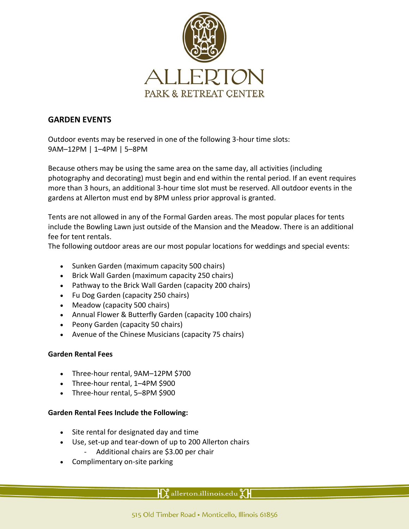

# **GARDEN EVENTS**

Outdoor events may be reserved in one of the following 3-hour time slots: 9AM–12PM | 1–4PM | 5–8PM

Because others may be using the same area on the same day, all activities (including photography and decorating) must begin and end within the rental period. If an event requires more than 3 hours, an additional 3-hour time slot must be reserved. All outdoor events in the gardens at Allerton must end by 8PM unless prior approval is granted.

Tents are not allowed in any of the Formal Garden areas. The most popular places for tents include the Bowling Lawn just outside of the Mansion and the Meadow. There is an additional fee for tent rentals.

The following outdoor areas are our most popular locations for weddings and special events:

- Sunken Garden (maximum capacity 500 chairs)
- Brick Wall Garden (maximum capacity 250 chairs)
- Pathway to the Brick Wall Garden (capacity 200 chairs)
- Fu Dog Garden (capacity 250 chairs)
- Meadow (capacity 500 chairs)
- Annual Flower & Butterfly Garden (capacity 100 chairs)
- Peony Garden (capacity 50 chairs)
- Avenue of the Chinese Musicians (capacity 75 chairs)

### **Garden Rental Fees**

- Three-hour rental, 9AM–12PM \$700
- Three-hour rental, 1–4PM \$900
- Three-hour rental, 5-8PM \$900

### **Garden Rental Fees Include the Following:**

- Site rental for designated day and time
- Use, set-up and tear-down of up to 200 Allerton chairs
	- Additional chairs are \$3.00 per chair
- Complimentary on-site parking

 $\mathbf{Y}$  allerton.illinois.edu  $\mathbf{Y}$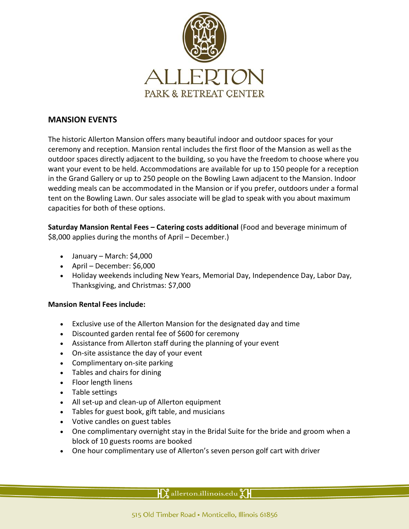

# **MANSION EVENTS**

The historic Allerton Mansion offers many beautiful indoor and outdoor spaces for your ceremony and reception. Mansion rental includes the first floor of the Mansion as well as the outdoor spaces directly adjacent to the building, so you have the freedom to choose where you want your event to be held. Accommodations are available for up to 150 people for a reception in the Grand Gallery or up to 250 people on the Bowling Lawn adjacent to the Mansion. Indoor wedding meals can be accommodated in the Mansion or if you prefer, outdoors under a formal tent on the Bowling Lawn. Our sales associate will be glad to speak with you about maximum capacities for both of these options.

**Saturday Mansion Rental Fees – Catering costs additional** (Food and beverage minimum of \$8,000 applies during the months of April – December.)

- January March: \$4,000
- $\bullet$  April December: \$6,000
- Holiday weekends including New Years, Memorial Day, Independence Day, Labor Day, Thanksgiving, and Christmas: \$7,000

### **Mansion Rental Fees include:**

- Exclusive use of the Allerton Mansion for the designated day and time
- Discounted garden rental fee of \$600 for ceremony
- Assistance from Allerton staff during the planning of your event
- On-site assistance the day of your event
- Complimentary on-site parking
- Tables and chairs for dining
- Floor length linens
- Table settings
- All set-up and clean-up of Allerton equipment
- Tables for guest book, gift table, and musicians
- Votive candles on guest tables
- One complimentary overnight stay in the Bridal Suite for the bride and groom when a block of 10 guests rooms are booked
- One hour complimentary use of Allerton's seven person golf cart with driver

 $\mathcal{X}$  allerton.illinois.edu $\mathcal{Y}$ l